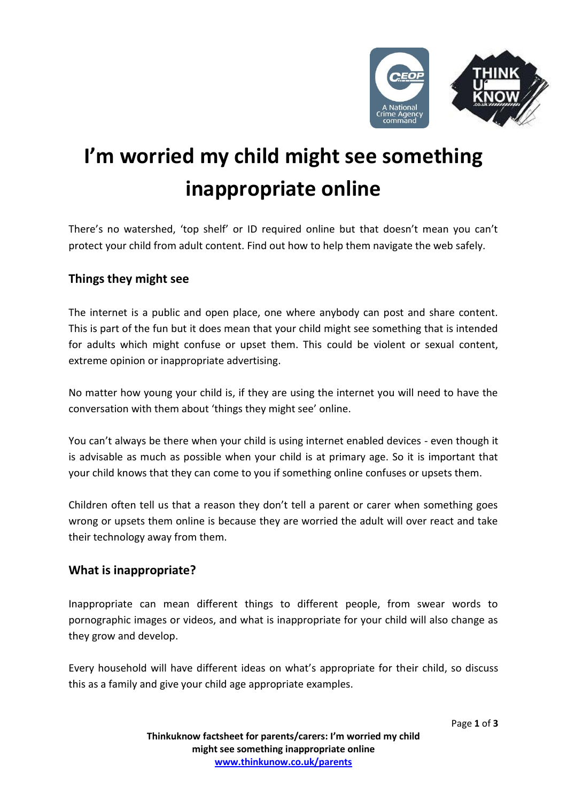

# **I'm worried my child might see something inappropriate online**

There's no watershed, 'top shelf' or ID required online but that doesn't mean you can't protect your child from adult content. Find out how to help them navigate the web safely.

## **Things they might see**

The internet is a public and open place, one where anybody can post and share content. This is part of the fun but it does mean that your child might see something that is intended for adults which might confuse or upset them. This could be violent or sexual content, extreme opinion or inappropriate advertising.

No matter how young your child is, if they are using the internet you will need to have the conversation with them about 'things they might see' online.

You can't always be there when your child is using internet enabled devices - even though it is advisable as much as possible when your child is at primary age. So it is important that your child knows that they can come to you if something online confuses or upsets them.

Children often tell us that a reason they don't tell a parent or carer when something goes wrong or upsets them online is because they are worried the adult will over react and take their technology away from them.

## **What is inappropriate?**

Inappropriate can mean different things to different people, from swear words to pornographic images or videos, and what is inappropriate for your child will also change as they grow and develop.

Every household will have different ideas on what's appropriate for their child, so discuss this as a family and give your child age appropriate examples.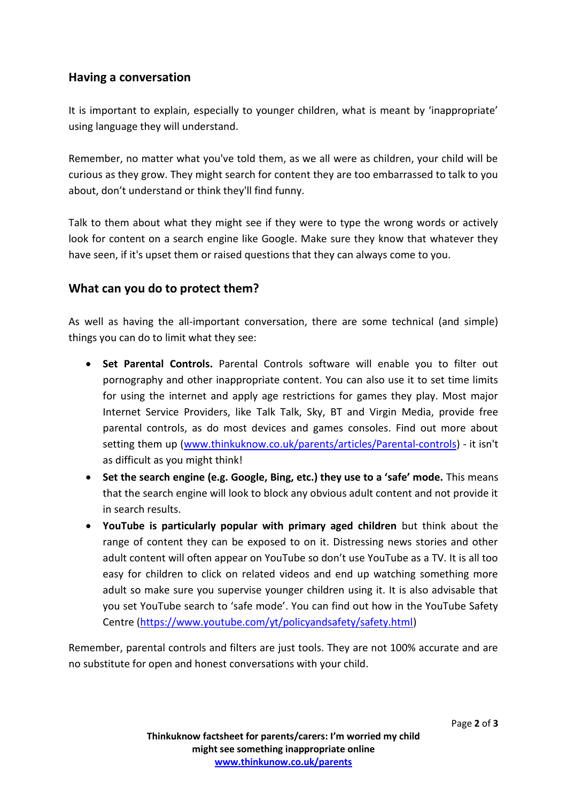#### **Having a conversation**

It is important to explain, especially to younger children, what is meant by 'inappropriate' using language they will understand.

Remember, no matter what you've told them, as we all were as children, your child will be curious as they grow. They might search for content they are too embarrassed to talk to you about, don't understand or think they'll find funny.

Talk to them about what they might see if they were to type the wrong words or actively look for content on a search engine like Google. Make sure they know that whatever they have seen, if it's upset them or raised questions that they can always come to you.

#### **What can you do to protect them?**

As well as having the all-important conversation, there are some technical (and simple) things you can do to limit what they see:

- **Set Parental Controls.** Parental Controls software will enable you to filter out pornography and other inappropriate content. You can also use it to set time limits for using the internet and apply age restrictions for games they play. Most major Internet Service Providers, like Talk Talk, Sky, BT and Virgin Media, provide free parental controls, as do most devices and games consoles. Find out more about setting them up [\(www.thinkuknow.co.uk/parents/articles/Parental-controls\)](http://www.thinkuknow.co.uk/parents/articles/Parental-controls) - it isn't as difficult as you might think!
- **Set the search engine (e.g. Google, Bing, etc.) they use to a 'safe' mode.** This means that the search engine will look to block any obvious adult content and not provide it in search results.
- **YouTube is particularly popular with primary aged children** but think about the range of content they can be exposed to on it. Distressing news stories and other adult content will often appear on YouTube so don't use YouTube as a TV. It is all too easy for children to click on related videos and end up watching something more adult so make sure you supervise younger children using it. It is also advisable that you set YouTube search to 'safe mode'. You can find out how in the YouTube Safety Centre [\(https://www.youtube.com/yt/policyandsafety/safety.html\)](https://www.youtube.com/yt/policyandsafety/safety.html)

Remember, parental controls and filters are just tools. They are not 100% accurate and are no substitute for open and honest conversations with your child.